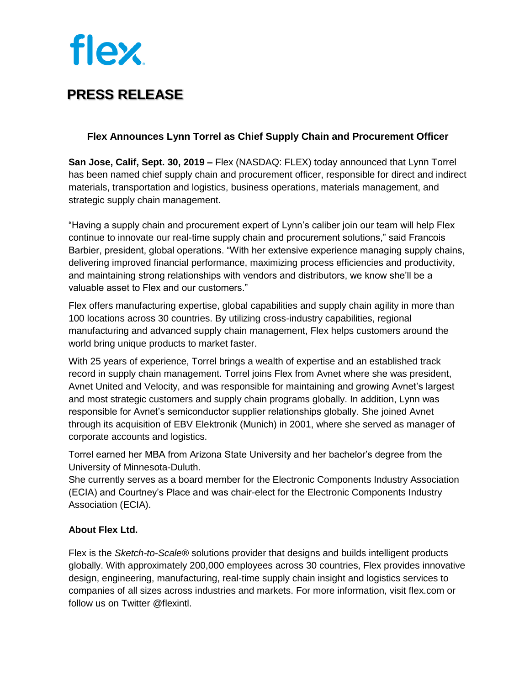# **flex**

### **PRESS RELEASE**

#### **Flex Announces Lynn Torrel as Chief Supply Chain and Procurement Officer**

**San Jose, Calif, Sept. 30, 2019 –** Flex (NASDAQ: FLEX) today announced that Lynn Torrel has been named chief supply chain and procurement officer, responsible for direct and indirect materials, transportation and logistics, business operations, materials management, and strategic supply chain management.

"Having a supply chain and procurement expert of Lynn's caliber join our team will help Flex continue to innovate our real-time supply chain and procurement solutions," said Francois Barbier, president, global operations. "With her extensive experience managing supply chains, delivering improved financial performance, maximizing process efficiencies and productivity, and maintaining strong relationships with vendors and distributors, we know she'll be a valuable asset to Flex and our customers."

Flex offers manufacturing expertise, global capabilities and supply chain agility in more than 100 locations across 30 countries. By utilizing cross-industry capabilities, regional manufacturing and advanced supply chain management, Flex helps customers around the world bring unique products to market faster.

With 25 years of experience, Torrel brings a wealth of expertise and an established track record in supply chain management. Torrel joins Flex from Avnet where she was president, Avnet United and Velocity, and was responsible for maintaining and growing Avnet's largest and most strategic customers and supply chain programs globally. In addition, Lynn was responsible for Avnet's semiconductor supplier relationships globally. She joined Avnet through its acquisition of EBV Elektronik (Munich) in 2001, where she served as manager of corporate accounts and logistics.

Torrel earned her MBA from Arizona State University and her bachelor's degree from the University of Minnesota-Duluth.

She currently serves as a board member for the Electronic Components Industry Association (ECIA) and Courtney's Place and was chair-elect for the Electronic Components Industry Association (ECIA).

#### **About Flex Ltd.**

Flex is the *Sketch-to-Scale®* solutions provider that designs and builds intelligent products globally. With approximately 200,000 employees across 30 countries, Flex provides innovative design, engineering, manufacturing, real-time supply chain insight and logistics services to companies of all sizes across industries and markets. For more information, visit [flex.com](http://flex.com/) or follow us on Twitter @flexintl.